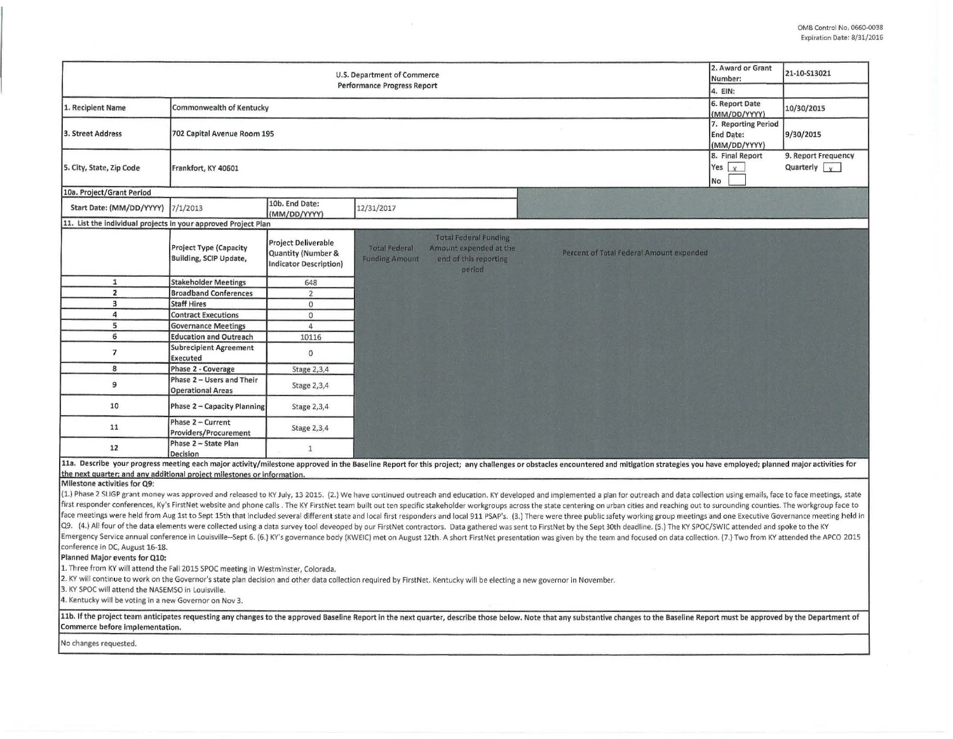| 2. Award or Grant<br>U.S. Department of Commerce<br>Number:<br>Performance Progress Report                                                                                                                                                                           |                                                         |                                                                                       |                                                                                                                                                                                                                                                                                                                                                                                                                                                                                                                                                                                                                                                                                                                                                                                                                                                                                                                                                                                                                                                                                                                                                                                                                                                                                                                                                                                                                                                                                                                                                                                    |                                                         | 21-10-S13021                                  |
|----------------------------------------------------------------------------------------------------------------------------------------------------------------------------------------------------------------------------------------------------------------------|---------------------------------------------------------|---------------------------------------------------------------------------------------|------------------------------------------------------------------------------------------------------------------------------------------------------------------------------------------------------------------------------------------------------------------------------------------------------------------------------------------------------------------------------------------------------------------------------------------------------------------------------------------------------------------------------------------------------------------------------------------------------------------------------------------------------------------------------------------------------------------------------------------------------------------------------------------------------------------------------------------------------------------------------------------------------------------------------------------------------------------------------------------------------------------------------------------------------------------------------------------------------------------------------------------------------------------------------------------------------------------------------------------------------------------------------------------------------------------------------------------------------------------------------------------------------------------------------------------------------------------------------------------------------------------------------------------------------------------------------------|---------------------------------------------------------|-----------------------------------------------|
|                                                                                                                                                                                                                                                                      | 4. EIN:                                                 |                                                                                       |                                                                                                                                                                                                                                                                                                                                                                                                                                                                                                                                                                                                                                                                                                                                                                                                                                                                                                                                                                                                                                                                                                                                                                                                                                                                                                                                                                                                                                                                                                                                                                                    |                                                         |                                               |
| 1. Recipient Name                                                                                                                                                                                                                                                    | Commonwealth of Kentucky                                |                                                                                       |                                                                                                                                                                                                                                                                                                                                                                                                                                                                                                                                                                                                                                                                                                                                                                                                                                                                                                                                                                                                                                                                                                                                                                                                                                                                                                                                                                                                                                                                                                                                                                                    | 6. Report Date<br>(MM/DD/YYYY)                          | 10/30/2015                                    |
| 3. Street Address                                                                                                                                                                                                                                                    | 702 Capital Avenue Room 195                             |                                                                                       |                                                                                                                                                                                                                                                                                                                                                                                                                                                                                                                                                                                                                                                                                                                                                                                                                                                                                                                                                                                                                                                                                                                                                                                                                                                                                                                                                                                                                                                                                                                                                                                    | 7. Reporting Period<br><b>End Date:</b><br>(MM/DD/YYYY) | 9/30/2015                                     |
| 5. City, State, Zip Code                                                                                                                                                                                                                                             | Frankfort, KY 40601                                     |                                                                                       |                                                                                                                                                                                                                                                                                                                                                                                                                                                                                                                                                                                                                                                                                                                                                                                                                                                                                                                                                                                                                                                                                                                                                                                                                                                                                                                                                                                                                                                                                                                                                                                    | 8. Final Report<br>Yes $x$<br>No                        | 9. Report Frequency<br>Quarterly $\mathbf{v}$ |
| 10a. Project/Grant Period                                                                                                                                                                                                                                            |                                                         |                                                                                       |                                                                                                                                                                                                                                                                                                                                                                                                                                                                                                                                                                                                                                                                                                                                                                                                                                                                                                                                                                                                                                                                                                                                                                                                                                                                                                                                                                                                                                                                                                                                                                                    |                                                         |                                               |
| Start Date: (MM/DD/YYYY)                                                                                                                                                                                                                                             | 7/1/2013                                                | 10b. End Date:<br>(MM/DD/YYYY)                                                        | 12/31/2017                                                                                                                                                                                                                                                                                                                                                                                                                                                                                                                                                                                                                                                                                                                                                                                                                                                                                                                                                                                                                                                                                                                                                                                                                                                                                                                                                                                                                                                                                                                                                                         |                                                         |                                               |
| 11. List the individual projects in your approved Project Plan                                                                                                                                                                                                       |                                                         |                                                                                       |                                                                                                                                                                                                                                                                                                                                                                                                                                                                                                                                                                                                                                                                                                                                                                                                                                                                                                                                                                                                                                                                                                                                                                                                                                                                                                                                                                                                                                                                                                                                                                                    |                                                         |                                               |
|                                                                                                                                                                                                                                                                      | <b>Project Type (Capacity</b><br>Building, SCIP Update, | Project Deliverable<br><b>Quantity (Number &amp;</b><br><b>Indicator Description)</b> | <b>Total Federal Funding</b><br><b>Total Federal</b><br>Amount expended at the<br>Percent of Total Federal Amount expended<br>end of this reporting<br><b>Funding Amount</b><br>period                                                                                                                                                                                                                                                                                                                                                                                                                                                                                                                                                                                                                                                                                                                                                                                                                                                                                                                                                                                                                                                                                                                                                                                                                                                                                                                                                                                             |                                                         |                                               |
| $\mathbf{1}$                                                                                                                                                                                                                                                         | <b>Stakeholder Meetings</b>                             | 648                                                                                   |                                                                                                                                                                                                                                                                                                                                                                                                                                                                                                                                                                                                                                                                                                                                                                                                                                                                                                                                                                                                                                                                                                                                                                                                                                                                                                                                                                                                                                                                                                                                                                                    |                                                         |                                               |
| $\overline{2}$                                                                                                                                                                                                                                                       | <b>Broadband Conferences</b>                            | $\overline{2}$                                                                        |                                                                                                                                                                                                                                                                                                                                                                                                                                                                                                                                                                                                                                                                                                                                                                                                                                                                                                                                                                                                                                                                                                                                                                                                                                                                                                                                                                                                                                                                                                                                                                                    |                                                         |                                               |
| $\overline{\mathbf{3}}$                                                                                                                                                                                                                                              | <b>Staff Hires</b>                                      | $\mathbf{O}$                                                                          |                                                                                                                                                                                                                                                                                                                                                                                                                                                                                                                                                                                                                                                                                                                                                                                                                                                                                                                                                                                                                                                                                                                                                                                                                                                                                                                                                                                                                                                                                                                                                                                    |                                                         |                                               |
| 4                                                                                                                                                                                                                                                                    | <b>Contract Executions</b>                              | $\circ$                                                                               |                                                                                                                                                                                                                                                                                                                                                                                                                                                                                                                                                                                                                                                                                                                                                                                                                                                                                                                                                                                                                                                                                                                                                                                                                                                                                                                                                                                                                                                                                                                                                                                    |                                                         |                                               |
| 5                                                                                                                                                                                                                                                                    | <b>Governance Meetings</b>                              | $\overline{4}$                                                                        |                                                                                                                                                                                                                                                                                                                                                                                                                                                                                                                                                                                                                                                                                                                                                                                                                                                                                                                                                                                                                                                                                                                                                                                                                                                                                                                                                                                                                                                                                                                                                                                    |                                                         |                                               |
| 6                                                                                                                                                                                                                                                                    | <b>Education and Outreach</b>                           | 10116                                                                                 |                                                                                                                                                                                                                                                                                                                                                                                                                                                                                                                                                                                                                                                                                                                                                                                                                                                                                                                                                                                                                                                                                                                                                                                                                                                                                                                                                                                                                                                                                                                                                                                    |                                                         |                                               |
| $\overline{7}$                                                                                                                                                                                                                                                       | <b>Subrecipient Agreement</b><br>Executed               | $\circ$                                                                               |                                                                                                                                                                                                                                                                                                                                                                                                                                                                                                                                                                                                                                                                                                                                                                                                                                                                                                                                                                                                                                                                                                                                                                                                                                                                                                                                                                                                                                                                                                                                                                                    |                                                         |                                               |
| 8                                                                                                                                                                                                                                                                    | Phase 2 - Coverage                                      | Stage 2,3,4                                                                           |                                                                                                                                                                                                                                                                                                                                                                                                                                                                                                                                                                                                                                                                                                                                                                                                                                                                                                                                                                                                                                                                                                                                                                                                                                                                                                                                                                                                                                                                                                                                                                                    |                                                         |                                               |
| 9                                                                                                                                                                                                                                                                    | Phase 2 - Users and Their<br><b>Operational Areas</b>   | Stage 2,3,4                                                                           |                                                                                                                                                                                                                                                                                                                                                                                                                                                                                                                                                                                                                                                                                                                                                                                                                                                                                                                                                                                                                                                                                                                                                                                                                                                                                                                                                                                                                                                                                                                                                                                    |                                                         |                                               |
| 10                                                                                                                                                                                                                                                                   | Phase 2 - Capacity Planning                             | Stage 2,3,4                                                                           |                                                                                                                                                                                                                                                                                                                                                                                                                                                                                                                                                                                                                                                                                                                                                                                                                                                                                                                                                                                                                                                                                                                                                                                                                                                                                                                                                                                                                                                                                                                                                                                    |                                                         |                                               |
| 11                                                                                                                                                                                                                                                                   | Phase 2 - Current<br>Providers/Procurement              | Stage 2,3,4                                                                           |                                                                                                                                                                                                                                                                                                                                                                                                                                                                                                                                                                                                                                                                                                                                                                                                                                                                                                                                                                                                                                                                                                                                                                                                                                                                                                                                                                                                                                                                                                                                                                                    |                                                         |                                               |
| 12                                                                                                                                                                                                                                                                   | Phase 2 - State Plan<br>Decision                        | $\mathbf{1}$                                                                          |                                                                                                                                                                                                                                                                                                                                                                                                                                                                                                                                                                                                                                                                                                                                                                                                                                                                                                                                                                                                                                                                                                                                                                                                                                                                                                                                                                                                                                                                                                                                                                                    |                                                         |                                               |
|                                                                                                                                                                                                                                                                      |                                                         |                                                                                       | 11a. Describe your progress meeting each major activity/milestone approved in the Baseline Report for this project; any challenges or obstacles encountered and mitigation strategies you have employed; planned major activit                                                                                                                                                                                                                                                                                                                                                                                                                                                                                                                                                                                                                                                                                                                                                                                                                                                                                                                                                                                                                                                                                                                                                                                                                                                                                                                                                     |                                                         |                                               |
| the next quarter; and any additional project milestones or information.<br>Milestone activities for Q9:                                                                                                                                                              |                                                         |                                                                                       |                                                                                                                                                                                                                                                                                                                                                                                                                                                                                                                                                                                                                                                                                                                                                                                                                                                                                                                                                                                                                                                                                                                                                                                                                                                                                                                                                                                                                                                                                                                                                                                    |                                                         |                                               |
| conference in DC, August 16-18.<br>Planned Major events for Q10:<br>1. Three from KY will attend the Fall 2015 SPOC meeting in Westminster, Colorada.<br>3. KY SPOC will attend the NASEMSO in Louisville.<br>4. Kentucky will be voting in a new Governor on Nov 3. |                                                         |                                                                                       | (1.) Phase 2 SLIGP grant money was approved and released to KY July, 13 2015. (2.) We have continued outreach and education. KY developed and implemented a plan for outreach and data collection using emails, face to face m<br>first responder conferences, Ky's FirstNet website and phone calls . The KY FirstNet team built out ten specific stakeholder workgroups across the state centering on urban cities and reaching out to surounding counties. Th<br>face meetings were held from Aug 1st to Sept 15th that included several different state and local first responders and local 911 PSAP's. (3.) There were three public safety working group meetings and one Executive Governan<br>Q9. (4.) All four of the data elements were collected using a data survey tool deveoped by our FirstNet contractors. Data gathered was sent to FirstNet by the Sept 30th deadline. (5.) The KY SPOC/SWIC attended and spoke to<br>Emergency Service annual conference in Louisville-Sept 6. (6.) KY's governance body (KWEIC) met on August 12th. A short FirstNet presentation was given by the team and focused on data collection. (7.) Two from KY attended<br>2. KY will continue to work on the Governor's state plan decision and other data collection required by FirstNet. Kentucky will be electing a new governor in November.<br>11b. If the project team anticipates requesting any changes to the approved Baseline Report in the next quarter, describe those below. Note that any substantive changes to the Baseline Report must be approved by the Depart |                                                         |                                               |
| Commerce before implementation.<br>No changes requested.                                                                                                                                                                                                             |                                                         |                                                                                       |                                                                                                                                                                                                                                                                                                                                                                                                                                                                                                                                                                                                                                                                                                                                                                                                                                                                                                                                                                                                                                                                                                                                                                                                                                                                                                                                                                                                                                                                                                                                                                                    |                                                         |                                               |
|                                                                                                                                                                                                                                                                      |                                                         |                                                                                       |                                                                                                                                                                                                                                                                                                                                                                                                                                                                                                                                                                                                                                                                                                                                                                                                                                                                                                                                                                                                                                                                                                                                                                                                                                                                                                                                                                                                                                                                                                                                                                                    |                                                         |                                               |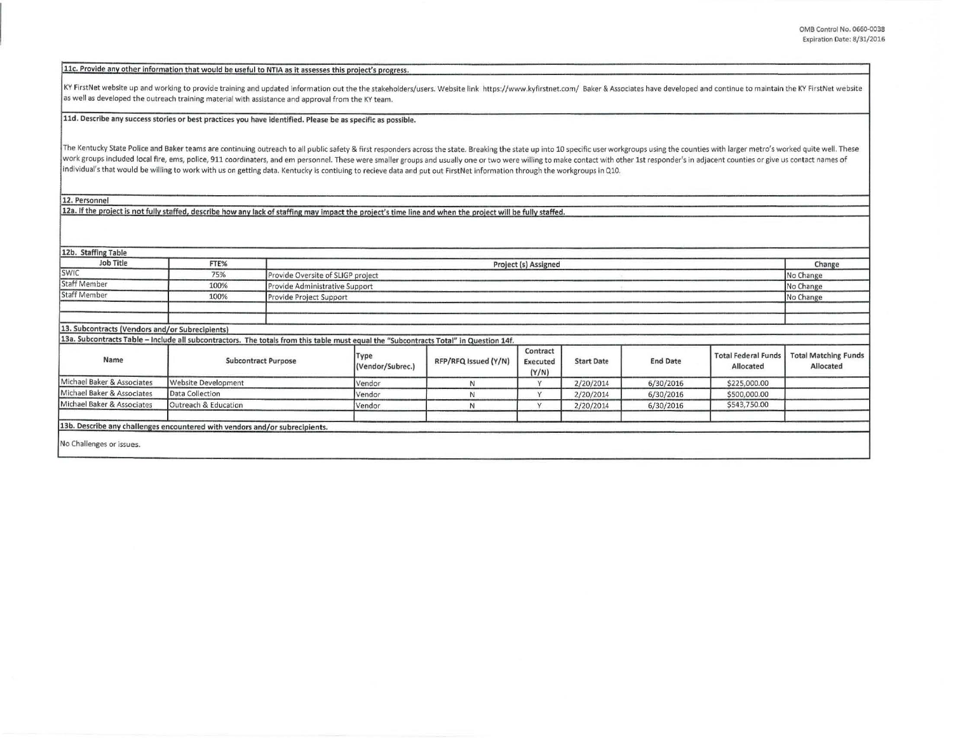## 11c. Provide any other information that would be useful to NTIA as it assesses this project's progress.

KY FirstNet website up and working to provide training and updated information out the the stakeholders/users. Website link https://www.kyfirstnet.com/ Baker & Associates have developed and continue to maintain the KY Firs as well as developed the outreach training material with assistance and approval from the KY team.

## 11d. Describe any success stories or best practices you have identified. Please be as specific as possible.

The Kentucky State Police and Baker teams are continuing outreach to all public safety & first responders across the state. Breaking the state up into 10 specific user workgroups using the counties with larger metro's work work groups included local fire, ems, police, 911 coordinaters, and em personnel. These were smaller groups and usually one or two were willing to make contact with other 1st responder's in adjacent counties or give us con Individual's that would be willing to work with us on getting data. Kentucky is contiuing to recieve data and put out FirstNet information through the workgroups in Q10.

12. Personnel

12a. If the project is not fully staffed, describe how any lack of staffing may impact the project's time line and when the project will be fully staffed.

| 12b. Staffing Table                                                                                                                   |                            |  |                                             |                      |                               |                   |                 |                                         |                                          |
|---------------------------------------------------------------------------------------------------------------------------------------|----------------------------|--|---------------------------------------------|----------------------|-------------------------------|-------------------|-----------------|-----------------------------------------|------------------------------------------|
| Job Title                                                                                                                             | FTE%                       |  | Project (s) Assigned                        |                      |                               |                   |                 |                                         | Change                                   |
| <b>SWIC</b>                                                                                                                           | 75%                        |  | Provide Oversite of SLIGP project           |                      |                               |                   |                 |                                         | No Change                                |
| <b>Staff Member</b>                                                                                                                   | 100%                       |  | Provide Administrative Support<br>No Change |                      |                               |                   |                 |                                         |                                          |
| <b>Staff Member</b>                                                                                                                   | 100%                       |  | Provide Project Support                     |                      |                               |                   |                 |                                         | No Change                                |
|                                                                                                                                       |                            |  |                                             |                      |                               |                   |                 |                                         |                                          |
| 13. Subcontracts (Vendors and/or Subrecipients)                                                                                       |                            |  |                                             |                      |                               |                   |                 |                                         |                                          |
| 13a. Subcontracts Table - Include all subcontractors. The totals from this table must equal the "Subcontracts Total" in Question 14f. |                            |  |                                             |                      |                               |                   |                 |                                         |                                          |
| Name                                                                                                                                  | <b>Subcontract Purpose</b> |  | Type<br>(Vendor/Subrec.)                    | RFP/RFQ Issued (Y/N) | Contract<br>Executed<br>(Y/N) | <b>Start Date</b> | <b>End Date</b> | <b>Total Federal Funds</b><br>Allocated | <b>Total Matching Funds</b><br>Allocated |
| Michael Baker & Associates                                                                                                            | Website Development        |  | Vendor                                      | N                    | V                             | 2/20/2014         | 6/30/2016       | \$225,000.00                            |                                          |
| Michael Baker & Associates                                                                                                            | Data Collection            |  | Vendor                                      | N                    | $\vee$                        | 2/20/2014         | 6/30/2016       | \$500,000.00                            |                                          |
| Michael Baker & Associates                                                                                                            | Outreach & Education       |  | Vendor                                      | N                    | $\vee$                        | 2/20/2014         | 6/30/2016       | \$543,750.00                            |                                          |
| 13b. Describe any challenges encountered with vendors and/or subrecipients.                                                           |                            |  |                                             |                      |                               |                   |                 |                                         |                                          |
| No Challenges or issues.                                                                                                              |                            |  |                                             |                      |                               |                   |                 |                                         |                                          |